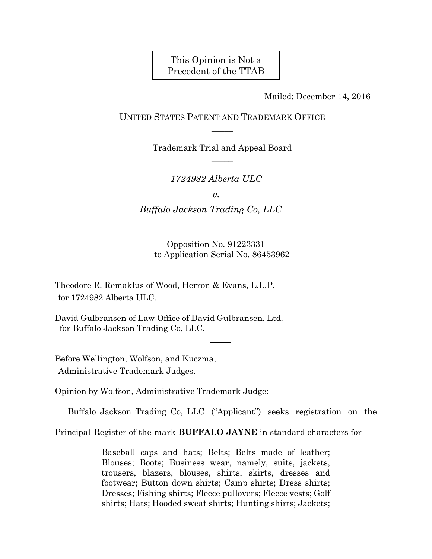This Opinion is Not a Precedent of the TTAB

Mailed: December 14, 2016

UNITED STATES PATENT AND TRADEMARK OFFICE  $\overline{\phantom{a}}$ 

> Trademark Trial and Appeal Board  $\overline{\phantom{a}}$

> > *1724982 Alberta ULC*

*v.*

 *Buffalo Jackson Trading Co, LLC*

Opposition No. 91223331 to Application Serial No. 86453962

Theodore R. Remaklus of Wood, Herron & Evans, L.L.P. for 1724982 Alberta ULC.

David Gulbransen of Law Office of David Gulbransen, Ltd. for Buffalo Jackson Trading Co, LLC.

Before Wellington, Wolfson, and Kuczma, Administrative Trademark Judges.

Opinion by Wolfson, Administrative Trademark Judge:

Buffalo Jackson Trading Co, LLC ("Applicant") seeks registration on the

Principal Register of the mark **BUFFALO JAYNE** in standard characters for

Baseball caps and hats; Belts; Belts made of leather; Blouses; Boots; Business wear, namely, suits, jackets, trousers, blazers, blouses, shirts, skirts, dresses and footwear; Button down shirts; Camp shirts; Dress shirts; Dresses; Fishing shirts; Fleece pullovers; Fleece vests; Golf shirts; Hats; Hooded sweat shirts; Hunting shirts; Jackets;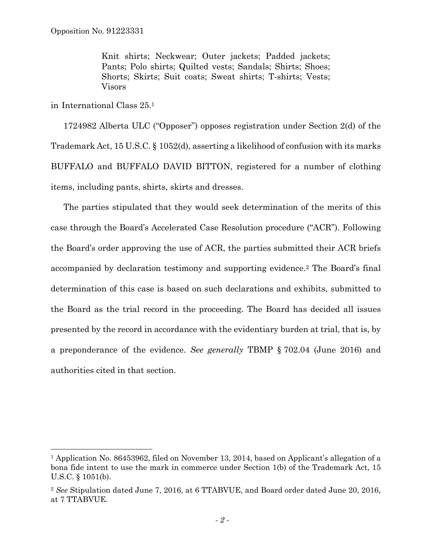Knit shirts; Neckwear; Outer jackets; Padded jackets; Pants; Polo shirts; Quilted vests; Sandals; Shirts; Shoes; Shorts; Skirts; Suit coats; Sweat shirts; T-shirts; Vests; Visors

in International Class 25.1

 $\overline{a}$ 

1724982 Alberta ULC ("Opposer") opposes registration under Section 2(d) of the Trademark Act, 15 U.S.C. § 1052(d), asserting a likelihood of confusion with its marks BUFFALO and BUFFALO DAVID BITTON, registered for a number of clothing items, including pants, shirts, skirts and dresses.

The parties stipulated that they would seek determination of the merits of this case through the Board's Accelerated Case Resolution procedure ("ACR"). Following the Board's order approving the use of ACR, the parties submitted their ACR briefs accompanied by declaration testimony and supporting evidence.2 The Board's final determination of this case is based on such declarations and exhibits, submitted to the Board as the trial record in the proceeding. The Board has decided all issues presented by the record in accordance with the evidentiary burden at trial, that is, by a preponderance of the evidence. *See generally* TBMP § 702.04 (June 2016) and authorities cited in that section.

<sup>&</sup>lt;sup>1</sup> Application No. 86453962, filed on November 13, 2014, based on Applicant's allegation of a bona fide intent to use the mark in commerce under Section 1(b) of the Trademark Act, 15 U.S.C. § 1051(b).

<sup>2</sup> *See* Stipulation dated June 7, 2016, at 6 TTABVUE, and Board order dated June 20, 2016, at 7 TTABVUE.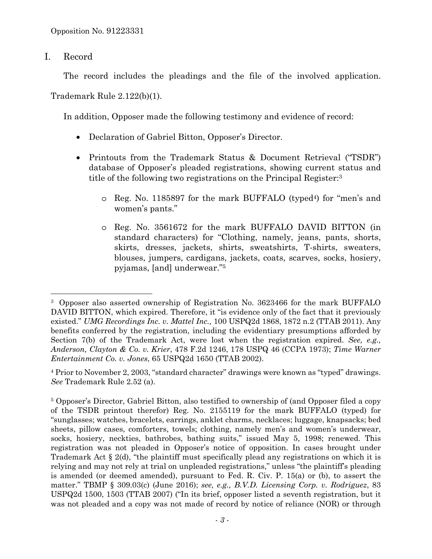I. Record

 $\overline{a}$ 

The record includes the pleadings and the file of the involved application.

Trademark Rule 2.122(b)(1).

In addition, Opposer made the following testimony and evidence of record:

- Declaration of Gabriel Bitton, Opposer's Director.
- Printouts from the Trademark Status & Document Retrieval ("TSDR") database of Opposer's pleaded registrations, showing current status and title of the following two registrations on the Principal Register:3
	- o Reg. No. 1185897 for the mark BUFFALO (typed4) for "men's and women's pants."
	- o Reg. No. 3561672 for the mark BUFFALO DAVID BITTON (in standard characters) for "Clothing, namely, jeans, pants, shorts, skirts, dresses, jackets, shirts, sweatshirts, T-shirts, sweaters, blouses, jumpers, cardigans, jackets, coats, scarves, socks, hosiery, pyjamas, [and] underwear."5

<sup>3</sup> Opposer also asserted ownership of Registration No. 3623466 for the mark BUFFALO DAVID BITTON, which expired. Therefore, it "is evidence only of the fact that it previously existed." *UMG Recordings Inc. v. Mattel Inc.,* 100 USPQ2d 1868, 1872 n.2 (TTAB 2011). Any benefits conferred by the registration, including the evidentiary presumptions afforded by Section 7(b) of the Trademark Act, were lost when the registration expired. *See, e.g., Anderson, Clayton & Co. v. Krier*, 478 F.2d 1246, 178 USPQ 46 (CCPA 1973); *Time Warner Entertainment Co. v. Jones*, 65 USPQ2d 1650 (TTAB 2002).

<sup>4</sup> Prior to November 2, 2003, "standard character" drawings were known as "typed" drawings. *See* Trademark Rule 2.52 (a).

<sup>5</sup> Opposer's Director, Gabriel Bitton, also testified to ownership of (and Opposer filed a copy of the TSDR printout therefor) Reg. No. 2155119 for the mark BUFFALO (typed) for "sunglasses; watches, bracelets, earrings, anklet charms, necklaces; luggage, knapsacks; bed sheets, pillow cases, comforters, towels; clothing, namely men's and women's underwear, socks, hosiery, neckties, bathrobes, bathing suits," issued May 5, 1998; renewed. This registration was not pleaded in Opposer's notice of opposition. In cases brought under Trademark Act § 2(d), "the plaintiff must specifically plead any registrations on which it is relying and may not rely at trial on unpleaded registrations," unless "the plaintiff's pleading is amended (or deemed amended), pursuant to Fed. R. Civ. P. 15(a) or (b), to assert the matter." TBMP § 309.03(c) (June 2016); *see, e.g., B.V.D. Licensing Corp. v. Rodriguez*, 83 USPQ2d 1500, 1503 (TTAB 2007) ("In its brief, opposer listed a seventh registration, but it was not pleaded and a copy was not made of record by notice of reliance (NOR) or through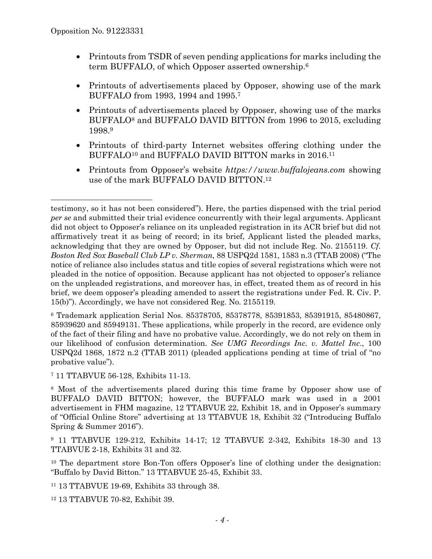$\overline{a}$ 

- Printouts from TSDR of seven pending applications for marks including the term BUFFALO, of which Opposer asserted ownership.<sup>6</sup>
- Printouts of advertisements placed by Opposer, showing use of the mark BUFFALO from 1993, 1994 and 1995.7
- Printouts of advertisements placed by Opposer, showing use of the marks BUFFALO<sup>8</sup> and BUFFALO DAVID BITTON from 1996 to 2015, excluding 1998.9
- Printouts of third-party Internet websites offering clothing under the BUFFALO<sup>10</sup> and BUFFALO DAVID BITTON marks in 2016.<sup>11</sup>
- Printouts from Opposer's website *https://www.buffalojeans.com* showing use of the mark BUFFALO DAVID BITTON.12

6 Trademark application Serial Nos. 85378705, 85378778, 85391853, 85391915, 85480867, 85939620 and 85949131. These applications, while properly in the record, are evidence only of the fact of their filing and have no probative value. Accordingly, we do not rely on them in our likelihood of confusion determination. *See UMG Recordings Inc. v. Mattel Inc*., 100 USPQ2d 1868, 1872 n.2 (TTAB 2011) (pleaded applications pending at time of trial of "no probative value").

7 11 TTABVUE 56-128, Exhibits 11-13.

8 Most of the advertisements placed during this time frame by Opposer show use of BUFFALO DAVID BITTON; however, the BUFFALO mark was used in a 2001 advertisement in FHM magazine, 12 TTABVUE 22, Exhibit 18, and in Opposer's summary of "Official Online Store" advertising at 13 TTABVUE 18, Exhibit 32 ("Introducing Buffalo Spring & Summer 2016").

9 11 TTABVUE 129-212, Exhibits 14-17; 12 TTABVUE 2-342, Exhibits 18-30 and 13 TTABVUE 2-18, Exhibits 31 and 32.

<sup>10</sup> The department store Bon-Ton offers Opposer's line of clothing under the designation: "Buffalo by David Bitton." 13 TTABVUE 25-45, Exhibit 33.

11 13 TTABVUE 19-69, Exhibits 33 through 38.

12 13 TTABVUE 70-82, Exhibit 39.

testimony, so it has not been considered"). Here, the parties dispensed with the trial period *per se* and submitted their trial evidence concurrently with their legal arguments. Applicant did not object to Opposer's reliance on its unpleaded registration in its ACR brief but did not affirmatively treat it as being of record; in its brief, Applicant listed the pleaded marks, acknowledging that they are owned by Opposer, but did not include Reg. No. 2155119. *Cf. Boston Red Sox Baseball Club LP v. Sherman,* 88 USPQ2d 1581, 1583 n.3 (TTAB 2008) ("The notice of reliance also includes status and title copies of several registrations which were not pleaded in the notice of opposition. Because applicant has not objected to opposer's reliance on the unpleaded registrations, and moreover has, in effect, treated them as of record in his brief, we deem opposer's pleading amended to assert the registrations under Fed. R. Civ. P. 15(b)"). Accordingly, we have not considered Reg. No. 2155119.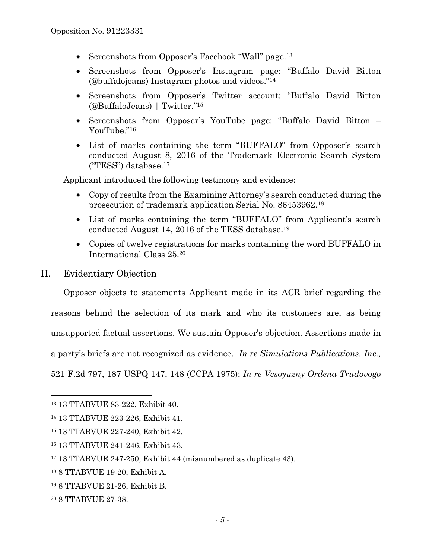- Screenshots from Opposer's Facebook "Wall" page.<sup>13</sup>
- Screenshots from Opposer's Instagram page: "Buffalo David Bitton (@buffalojeans) Instagram photos and videos."14
- Screenshots from Opposer's Twitter account: "Buffalo David Bitton (@BuffaloJeans) | Twitter."15
- Screenshots from Opposer's YouTube page: "Buffalo David Bitton YouTube<sup>"16</sup>
- List of marks containing the term "BUFFALO" from Opposer's search conducted August 8, 2016 of the Trademark Electronic Search System ("TESS") database.17

Applicant introduced the following testimony and evidence:

- Copy of results from the Examining Attorney's search conducted during the prosecution of trademark application Serial No. 86453962.18
- List of marks containing the term "BUFFALO" from Applicant's search conducted August 14, 2016 of the TESS database.19
- Copies of twelve registrations for marks containing the word BUFFALO in International Class 25.20
- II. Evidentiary Objection

Opposer objects to statements Applicant made in its ACR brief regarding the reasons behind the selection of its mark and who its customers are, as being unsupported factual assertions. We sustain Opposer's objection. Assertions made in a party's briefs are not recognized as evidence. *In re Simulations Publications, Inc.,*  521 F.2d 797, 187 USPQ 147, 148 (CCPA 1975); *In re Vesoyuzny Ordena Trudovogo* 

<sup>13 13</sup> TTABVUE 83-222, Exhibit 40.

<sup>14 13</sup> TTABVUE 223-226, Exhibit 41.

<sup>15 13</sup> TTABVUE 227-240, Exhibit 42.

<sup>16 13</sup> TTABVUE 241-246, Exhibit 43.

<sup>17 13</sup> TTABVUE 247-250, Exhibit 44 (misnumbered as duplicate 43).

<sup>18 8</sup> TTABVUE 19-20, Exhibit A.

<sup>19 8</sup> TTABVUE 21-26, Exhibit B.

<sup>20 8</sup> TTABVUE 27-38.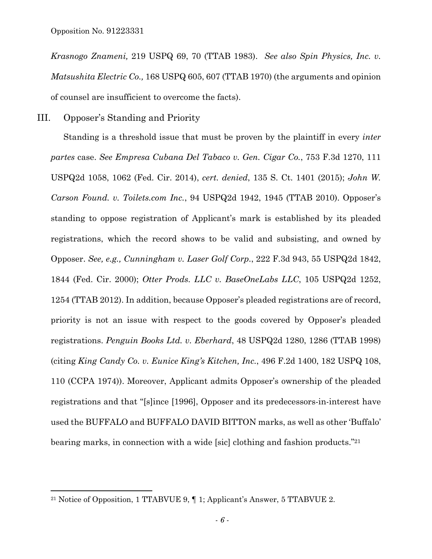1

*Krasnogo Znameni,* 219 USPQ 69, 70 (TTAB 1983). *See also Spin Physics, Inc. v. Matsushita Electric Co.,* 168 USPQ 605, 607 (TTAB 1970) (the arguments and opinion of counsel are insufficient to overcome the facts).

# III. Opposer's Standing and Priority

Standing is a threshold issue that must be proven by the plaintiff in every *inter partes* case. *See Empresa Cubana Del Tabaco v. Gen. Cigar Co.*, 753 F.3d 1270, 111 USPQ2d 1058, 1062 (Fed. Cir. 2014), *cert. denied*, 135 S. Ct. 1401 (2015); *John W. Carson Found. v. Toilets.com Inc.*, 94 USPQ2d 1942, 1945 (TTAB 2010). Opposer's standing to oppose registration of Applicant's mark is established by its pleaded registrations, which the record shows to be valid and subsisting, and owned by Opposer. *See, e.g., Cunningham v. Laser Golf Corp.*, 222 F.3d 943, 55 USPQ2d 1842, 1844 (Fed. Cir. 2000); *Otter Prods. LLC v. BaseOneLabs LLC*, 105 USPQ2d 1252, 1254 (TTAB 2012). In addition, because Opposer's pleaded registrations are of record, priority is not an issue with respect to the goods covered by Opposer's pleaded registrations. *Penguin Books Ltd. v. Eberhard*, 48 USPQ2d 1280, 1286 (TTAB 1998) (citing *King Candy Co. v. Eunice King's Kitchen, Inc.*, 496 F.2d 1400, 182 USPQ 108, 110 (CCPA 1974)). Moreover, Applicant admits Opposer's ownership of the pleaded registrations and that "[s]ince [1996], Opposer and its predecessors-in-interest have used the BUFFALO and BUFFALO DAVID BITTON marks, as well as other 'Buffalo' bearing marks, in connection with a wide [sic] clothing and fashion products."21

<sup>21</sup> Notice of Opposition, 1 TTABVUE 9, ¶ 1; Applicant's Answer, 5 TTABVUE 2.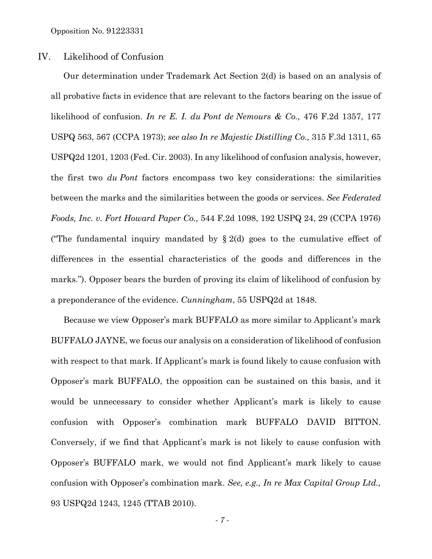Opposition No. 91223331

### IV. Likelihood of Confusion

Our determination under Trademark Act Section 2(d) is based on an analysis of all probative facts in evidence that are relevant to the factors bearing on the issue of likelihood of confusion. *In re E. I. du Pont de Nemours & Co.,* 476 F.2d 1357, 177 USPQ 563, 567 (CCPA 1973); *see also In re Majestic Distilling Co.,* 315 F.3d 1311, 65 USPQ2d 1201, 1203 (Fed. Cir. 2003). In any likelihood of confusion analysis, however, the first two *du Pont* factors encompass two key considerations: the similarities between the marks and the similarities between the goods or services. *See Federated Foods, Inc. v. Fort Howard Paper Co.,* 544 F.2d 1098, 192 USPQ 24, 29 (CCPA 1976) ("The fundamental inquiry mandated by  $\S 2(d)$  goes to the cumulative effect of differences in the essential characteristics of the goods and differences in the marks."). Opposer bears the burden of proving its claim of likelihood of confusion by a preponderance of the evidence. *Cunningham*, 55 USPQ2d at 1848.

Because we view Opposer's mark BUFFALO as more similar to Applicant's mark BUFFALO JAYNE, we focus our analysis on a consideration of likelihood of confusion with respect to that mark. If Applicant's mark is found likely to cause confusion with Opposer's mark BUFFALO, the opposition can be sustained on this basis, and it would be unnecessary to consider whether Applicant's mark is likely to cause confusion with Opposer's combination mark BUFFALO DAVID BITTON. Conversely, if we find that Applicant's mark is not likely to cause confusion with Opposer's BUFFALO mark, we would not find Applicant's mark likely to cause confusion with Opposer's combination mark. *See, e.g., In re Max Capital Group Ltd.,* 93 USPQ2d 1243, 1245 (TTAB 2010).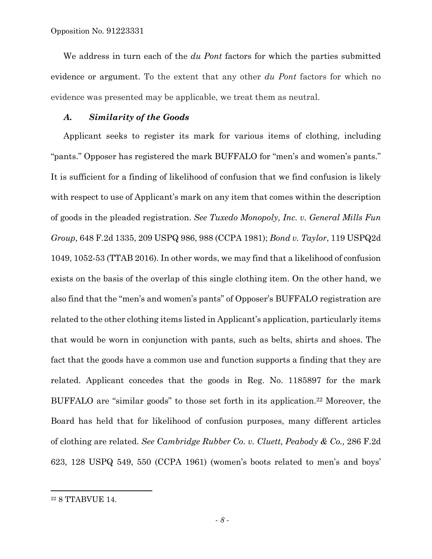We address in turn each of the *du Pont* factors for which the parties submitted evidence or argument. To the extent that any other *du Pont* factors for which no evidence was presented may be applicable, we treat them as neutral.

#### *A. Similarity of the Goods*

Applicant seeks to register its mark for various items of clothing, including "pants." Opposer has registered the mark BUFFALO for "men's and women's pants." It is sufficient for a finding of likelihood of confusion that we find confusion is likely with respect to use of Applicant's mark on any item that comes within the description of goods in the pleaded registration. *See Tuxedo Monopoly, Inc. v. General Mills Fun Group,* 648 F.2d 1335, 209 USPQ 986, 988 (CCPA 1981); *Bond v. Taylor*, 119 USPQ2d 1049, 1052-53 (TTAB 2016). In other words, we may find that a likelihood of confusion exists on the basis of the overlap of this single clothing item. On the other hand, we also find that the "men's and women's pants" of Opposer's BUFFALO registration are related to the other clothing items listed in Applicant's application, particularly items that would be worn in conjunction with pants, such as belts, shirts and shoes. The fact that the goods have a common use and function supports a finding that they are related. Applicant concedes that the goods in Reg. No. 1185897 for the mark BUFFALO are "similar goods" to those set forth in its application.22 Moreover, the Board has held that for likelihood of confusion purposes, many different articles of clothing are related. *See Cambridge Rubber Co. v. Cluett, Peabody & Co.,* 286 F.2d 623, 128 USPQ 549, 550 (CCPA 1961) (women's boots related to men's and boys'

<sup>22 8</sup> TTABVUE 14.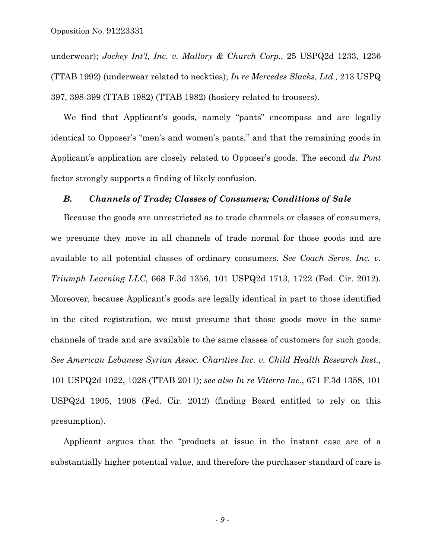underwear); *Jockey Int'l, Inc. v. Mallory & Church Corp.,* 25 USPQ2d 1233, 1236 (TTAB 1992) (underwear related to neckties); *In re Mercedes Slacks, Ltd.,* 213 USPQ 397, 398-399 (TTAB 1982) (TTAB 1982) (hosiery related to trousers).

We find that Applicant's goods, namely "pants" encompass and are legally identical to Opposer's "men's and women's pants," and that the remaining goods in Applicant's application are closely related to Opposer's goods. The second *du Pont*  factor strongly supports a finding of likely confusion.

#### *B. Channels of Trade; Classes of Consumers; Conditions of Sale*

Because the goods are unrestricted as to trade channels or classes of consumers, we presume they move in all channels of trade normal for those goods and are available to all potential classes of ordinary consumers. *See Coach Servs. Inc. v. Triumph Learning LLC*, 668 F.3d 1356, 101 USPQ2d 1713, 1722 (Fed. Cir. 2012). Moreover, because Applicant's goods are legally identical in part to those identified in the cited registration, we must presume that those goods move in the same channels of trade and are available to the same classes of customers for such goods. *See American Lebanese Syrian Assoc. Charities Inc. v. Child Health Research Inst.*, 101 USPQ2d 1022, 1028 (TTAB 2011); *see also In re Viterra Inc.*, 671 F.3d 1358, 101 USPQ2d 1905, 1908 (Fed. Cir. 2012) (finding Board entitled to rely on this presumption).

Applicant argues that the "products at issue in the instant case are of a substantially higher potential value, and therefore the purchaser standard of care is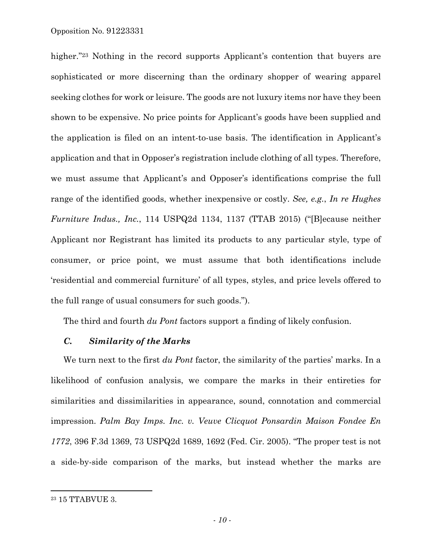higher."<sup>23</sup> Nothing in the record supports Applicant's contention that buyers are sophisticated or more discerning than the ordinary shopper of wearing apparel seeking clothes for work or leisure. The goods are not luxury items nor have they been shown to be expensive. No price points for Applicant's goods have been supplied and the application is filed on an intent-to-use basis. The identification in Applicant's application and that in Opposer's registration include clothing of all types. Therefore, we must assume that Applicant's and Opposer's identifications comprise the full range of the identified goods, whether inexpensive or costly. *See, e.g.*, *In re Hughes Furniture Indus., Inc.*, 114 USPQ2d 1134, 1137 (TTAB 2015) ("[B]ecause neither Applicant nor Registrant has limited its products to any particular style, type of consumer, or price point, we must assume that both identifications include 'residential and commercial furniture' of all types, styles, and price levels offered to the full range of usual consumers for such goods.").

The third and fourth *du Pont* factors support a finding of likely confusion.

#### *C. Similarity of the Marks*

We turn next to the first *du Pont* factor, the similarity of the parties' marks. In a likelihood of confusion analysis, we compare the marks in their entireties for similarities and dissimilarities in appearance, sound, connotation and commercial impression. *Palm Bay Imps. Inc. v. Veuve Clicquot Ponsardin Maison Fondee En 1772*, 396 F.3d 1369, 73 USPQ2d 1689, 1692 (Fed. Cir. 2005). "The proper test is not a side-by-side comparison of the marks, but instead whether the marks are

1

<sup>23 15</sup> TTABVUE 3.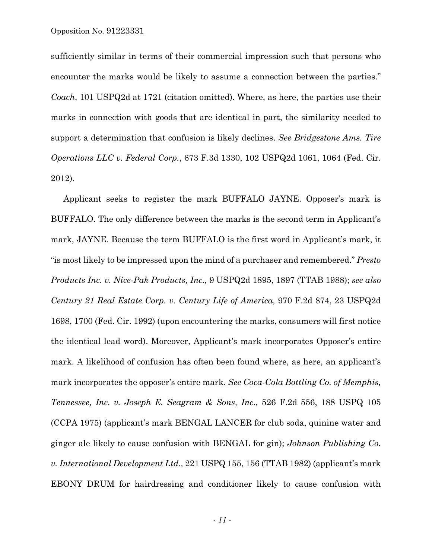sufficiently similar in terms of their commercial impression such that persons who encounter the marks would be likely to assume a connection between the parties." *Coach*, 101 USPQ2d at 1721 (citation omitted). Where, as here, the parties use their marks in connection with goods that are identical in part, the similarity needed to support a determination that confusion is likely declines. *See Bridgestone Ams. Tire Operations LLC v. Federal Corp.*, 673 F.3d 1330, 102 USPQ2d 1061, 1064 (Fed. Cir. 2012).

Applicant seeks to register the mark BUFFALO JAYNE. Opposer's mark is BUFFALO. The only difference between the marks is the second term in Applicant's mark, JAYNE. Because the term BUFFALO is the first word in Applicant's mark, it "is most likely to be impressed upon the mind of a purchaser and remembered." *Presto Products Inc. v. Nice-Pak Products, Inc.,* 9 USPQ2d 1895, 1897 (TTAB 1988); *see also Century 21 Real Estate Corp. v. Century Life of America,* 970 F.2d 874, 23 USPQ2d 1698, 1700 (Fed. Cir. 1992) (upon encountering the marks, consumers will first notice the identical lead word). Moreover, Applicant's mark incorporates Opposer's entire mark. A likelihood of confusion has often been found where, as here, an applicant's mark incorporates the opposer's entire mark. *See Coca-Cola Bottling Co. of Memphis, Tennessee, Inc. v. Joseph E. Seagram & Sons, Inc.,* 526 F.2d 556, 188 USPQ 105 (CCPA 1975) (applicant's mark BENGAL LANCER for club soda, quinine water and ginger ale likely to cause confusion with BENGAL for gin); *Johnson Publishing Co. v. International Development Ltd.,* 221 USPQ 155, 156 (TTAB 1982) (applicant's mark EBONY DRUM for hairdressing and conditioner likely to cause confusion with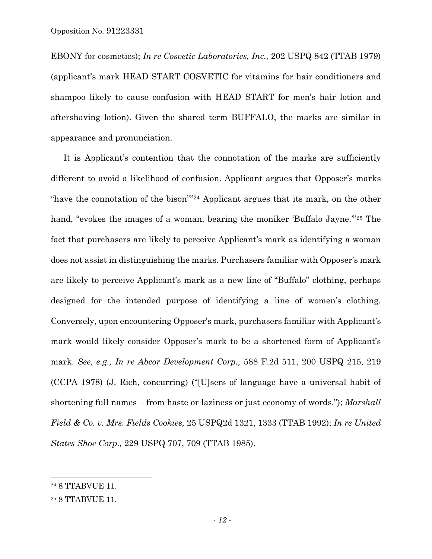EBONY for cosmetics); *In re Cosvetic Laboratories, Inc.,* 202 USPQ 842 (TTAB 1979) (applicant's mark HEAD START COSVETIC for vitamins for hair conditioners and shampoo likely to cause confusion with HEAD START for men's hair lotion and aftershaving lotion). Given the shared term BUFFALO, the marks are similar in appearance and pronunciation.

It is Applicant's contention that the connotation of the marks are sufficiently different to avoid a likelihood of confusion. Applicant argues that Opposer's marks "have the connotation of the bison""24 Applicant argues that its mark, on the other hand, "evokes the images of a woman, bearing the moniker 'Buffalo Jayne."<sup>25</sup> The fact that purchasers are likely to perceive Applicant's mark as identifying a woman does not assist in distinguishing the marks. Purchasers familiar with Opposer's mark are likely to perceive Applicant's mark as a new line of "Buffalo" clothing, perhaps designed for the intended purpose of identifying a line of women's clothing. Conversely, upon encountering Opposer's mark, purchasers familiar with Applicant's mark would likely consider Opposer's mark to be a shortened form of Applicant's mark. *See, e.g., In re Abcor Development Corp.,* 588 F.2d 511, 200 USPQ 215, 219 (CCPA 1978) (J. Rich, concurring) ("[U]sers of language have a universal habit of shortening full names – from haste or laziness or just economy of words."); *Marshall Field & Co. v. Mrs. Fields Cookies,* 25 USPQ2d 1321, 1333 (TTAB 1992); *In re United States Shoe Corp.,* 229 USPQ 707, 709 (TTAB 1985).

<sup>24 8</sup> TTABVUE 11.

<sup>25 8</sup> TTABVUE 11.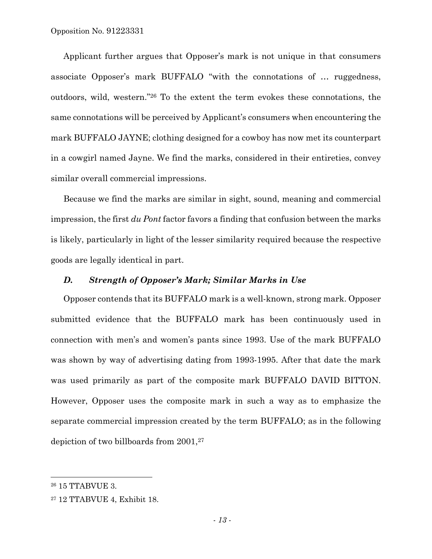Opposition No. 91223331

Applicant further argues that Opposer's mark is not unique in that consumers associate Opposer's mark BUFFALO "with the connotations of … ruggedness, outdoors, wild, western."26 To the extent the term evokes these connotations, the same connotations will be perceived by Applicant's consumers when encountering the mark BUFFALO JAYNE; clothing designed for a cowboy has now met its counterpart in a cowgirl named Jayne. We find the marks, considered in their entireties, convey similar overall commercial impressions.

Because we find the marks are similar in sight, sound, meaning and commercial impression, the first *du Pont* factor favors a finding that confusion between the marks is likely, particularly in light of the lesser similarity required because the respective goods are legally identical in part.

## *D. Strength of Opposer's Mark; Similar Marks in Use*

Opposer contends that its BUFFALO mark is a well-known, strong mark. Opposer submitted evidence that the BUFFALO mark has been continuously used in connection with men's and women's pants since 1993. Use of the mark BUFFALO was shown by way of advertising dating from 1993-1995. After that date the mark was used primarily as part of the composite mark BUFFALO DAVID BITTON. However, Opposer uses the composite mark in such a way as to emphasize the separate commercial impression created by the term BUFFALO; as in the following depiction of two billboards from 2001,27

1

<sup>26 15</sup> TTABVUE 3.

<sup>27 12</sup> TTABVUE 4, Exhibit 18.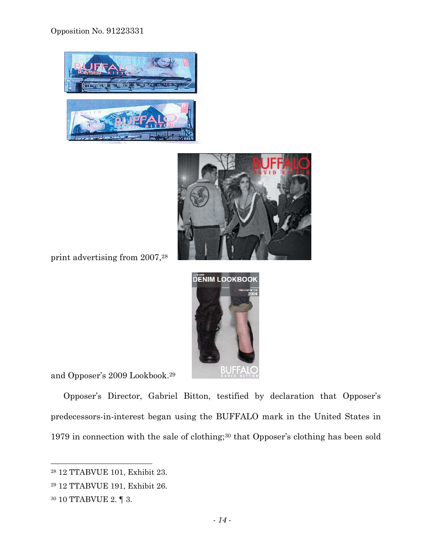Opposition No. 91223331





print advertising from 2007,28



and Opposer's 2009 Lookbook.29

Opposer's Director, Gabriel Bitton, testified by declaration that Opposer's predecessors-in-interest began using the BUFFALO mark in the United States in 1979 in connection with the sale of clothing;30 that Opposer's clothing has been sold

<sup>28 12</sup> TTABVUE 101, Exhibit 23.

<sup>29 12</sup> TTABVUE 191, Exhibit 26.

 $^{30}$  10 TTABVUE 2.  $\P$  3.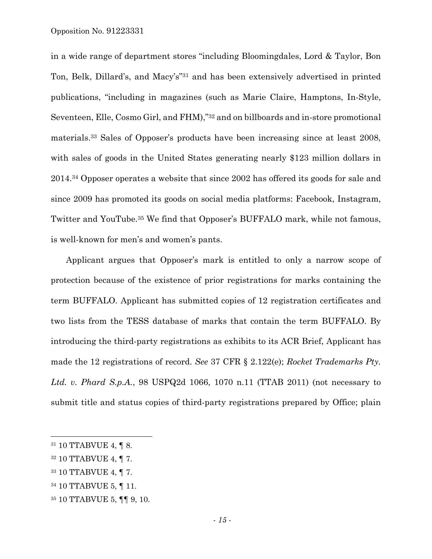in a wide range of department stores "including Bloomingdales, Lord & Taylor, Bon Ton, Belk, Dillard's, and Macy's"31 and has been extensively advertised in printed publications, "including in magazines (such as Marie Claire, Hamptons, In-Style, Seventeen, Elle, Cosmo Girl, and FHM),"32 and on billboards and in-store promotional materials.33 Sales of Opposer's products have been increasing since at least 2008, with sales of goods in the United States generating nearly \$123 million dollars in 2014.34 Opposer operates a website that since 2002 has offered its goods for sale and since 2009 has promoted its goods on social media platforms: Facebook, Instagram, Twitter and YouTube.35 We find that Opposer's BUFFALO mark, while not famous, is well-known for men's and women's pants.

Applicant argues that Opposer's mark is entitled to only a narrow scope of protection because of the existence of prior registrations for marks containing the term BUFFALO. Applicant has submitted copies of 12 registration certificates and two lists from the TESS database of marks that contain the term BUFFALO. By introducing the third-party registrations as exhibits to its ACR Brief, Applicant has made the 12 registrations of record. *See* 37 CFR § 2.122(e); *Rocket Trademarks Pty. Ltd. v. Phard S.p.A.*, 98 USPQ2d 1066, 1070 n.11 (TTAB 2011) (not necessary to submit title and status copies of third-party registrations prepared by Office; plain

<sup>31 10</sup> TTABVUE 4, ¶ 8.

<sup>32 10</sup> TTABVUE 4, ¶ 7.

<sup>33 10</sup> TTABVUE 4, ¶ 7.

<sup>34 10</sup> TTABVUE 5, ¶ 11.

<sup>35 10</sup> TTABVUE 5, ¶¶ 9, 10.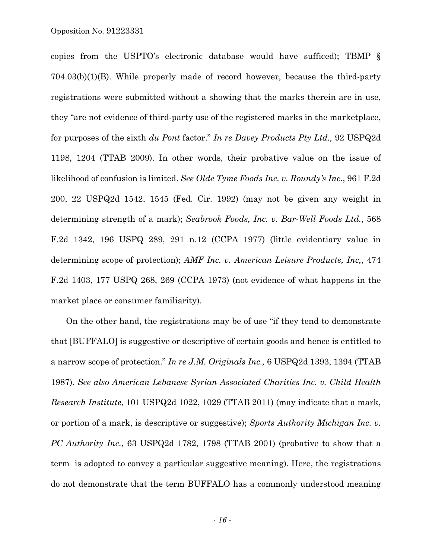copies from the USPTO's electronic database would have sufficed); TBMP § 704.03(b)(1)(B). While properly made of record however, because the third-party registrations were submitted without a showing that the marks therein are in use, they "are not evidence of third-party use of the registered marks in the marketplace, for purposes of the sixth *du Pont* factor." *In re Davey Products Pty Ltd.,* 92 USPQ2d 1198, 1204 (TTAB 2009). In other words, their probative value on the issue of likelihood of confusion is limited. *See Olde Tyme Foods Inc. v. Roundy's Inc.*, 961 F.2d 200, 22 USPQ2d 1542, 1545 (Fed. Cir. 1992) (may not be given any weight in determining strength of a mark); *Seabrook Foods, Inc. v. Bar-Well Foods Ltd.*, 568 F.2d 1342, 196 USPQ 289, 291 n.12 (CCPA 1977) (little evidentiary value in determining scope of protection); *AMF Inc. v. American Leisure Products, Inc,*, 474 F.2d 1403, 177 USPQ 268, 269 (CCPA 1973) (not evidence of what happens in the market place or consumer familiarity).

On the other hand, the registrations may be of use "if they tend to demonstrate that [BUFFALO] is suggestive or descriptive of certain goods and hence is entitled to a narrow scope of protection." *In re J.M. Originals Inc.,* 6 USPQ2d 1393, 1394 (TTAB 1987). *See also American Lebanese Syrian Associated Charities Inc. v. Child Health Research Institute*, 101 USPQ2d 1022, 1029 (TTAB 2011) (may indicate that a mark, or portion of a mark, is descriptive or suggestive); *Sports Authority Michigan Inc. v. PC Authority Inc.*, 63 USPQ2d 1782, 1798 (TTAB 2001) (probative to show that a term is adopted to convey a particular suggestive meaning). Here, the registrations do not demonstrate that the term BUFFALO has a commonly understood meaning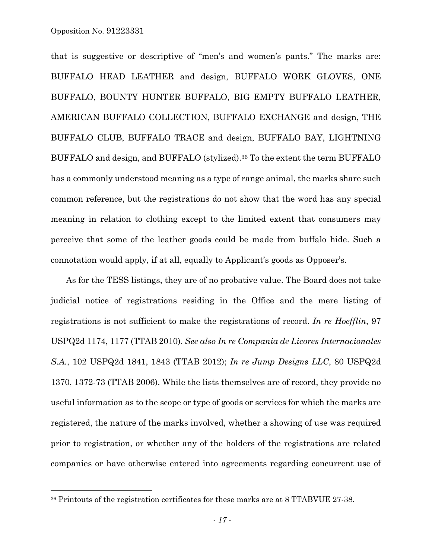1

that is suggestive or descriptive of "men's and women's pants." The marks are: BUFFALO HEAD LEATHER and design, BUFFALO WORK GLOVES, ONE BUFFALO, BOUNTY HUNTER BUFFALO, BIG EMPTY BUFFALO LEATHER, AMERICAN BUFFALO COLLECTION, BUFFALO EXCHANGE and design, THE BUFFALO CLUB, BUFFALO TRACE and design, BUFFALO BAY, LIGHTNING BUFFALO and design, and BUFFALO (stylized).36 To the extent the term BUFFALO has a commonly understood meaning as a type of range animal, the marks share such common reference, but the registrations do not show that the word has any special meaning in relation to clothing except to the limited extent that consumers may perceive that some of the leather goods could be made from buffalo hide. Such a connotation would apply, if at all, equally to Applicant's goods as Opposer's.

As for the TESS listings, they are of no probative value. The Board does not take judicial notice of registrations residing in the Office and the mere listing of registrations is not sufficient to make the registrations of record. *In re Hoefflin*, 97 USPQ2d 1174, 1177 (TTAB 2010). *See also In re Compania de Licores Internacionales S.A.*, 102 USPQ2d 1841, 1843 (TTAB 2012); *In re Jump Designs LLC*, 80 USPQ2d 1370, 1372-73 (TTAB 2006). While the lists themselves are of record, they provide no useful information as to the scope or type of goods or services for which the marks are registered, the nature of the marks involved, whether a showing of use was required prior to registration, or whether any of the holders of the registrations are related companies or have otherwise entered into agreements regarding concurrent use of

<sup>36</sup> Printouts of the registration certificates for these marks are at 8 TTABVUE 27-38.